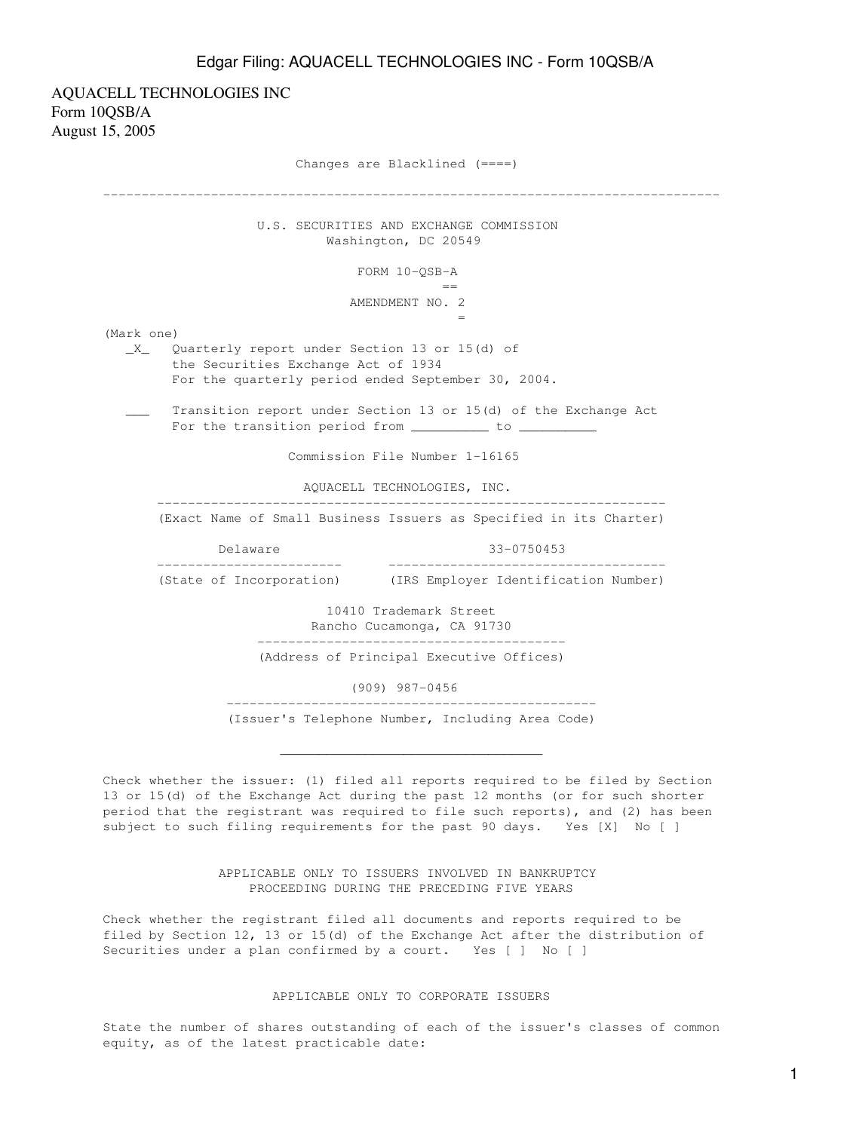AQUACELL TECHNOLOGIES INC Form 10QSB/A August 15, 2005 Changes are Blacklined (====) -------------------------------------------------------------------------------- U.S. SECURITIES AND EXCHANGE COMMISSION Washington, DC 20549 FORM 10-QSB-A en de la construction de la construction de la construction de la construction de la construction de la constr<br>La construction de la construction de la construction de la construction de la construction de la construction AMENDMENT NO. 2  $=$   $\frac{1}{2}$   $\frac{1}{2}$   $\frac{1}{2}$   $\frac{1}{2}$   $\frac{1}{2}$   $\frac{1}{2}$   $\frac{1}{2}$   $\frac{1}{2}$   $\frac{1}{2}$   $\frac{1}{2}$   $\frac{1}{2}$   $\frac{1}{2}$   $\frac{1}{2}$   $\frac{1}{2}$   $\frac{1}{2}$   $\frac{1}{2}$   $\frac{1}{2}$   $\frac{1}{2}$   $\frac{1}{2}$   $\frac{1}{2}$   $\frac{1}{2}$   $\frac{1}{2$ (Mark one) \_X\_ Quarterly report under Section 13 or 15(d) of the Securities Exchange Act of 1934 For the quarterly period ended September 30, 2004. Transition report under Section 13 or 15(d) of the Exchange Act For the transition period from \_\_\_\_\_\_\_\_\_\_ to \_\_\_\_\_\_\_\_\_\_ Commission File Number 1-16165 AQUACELL TECHNOLOGIES, INC. ------------------------------------------------------------------ (Exact Name of Small Business Issuers as Specified in its Charter) Delaware 33-0750453 ------------------------ ------------------------------------ (State of Incorporation) (IRS Employer Identification Number) 10410 Trademark Street Rancho Cucamonga, CA 91730 ---------------------------------------- (Address of Principal Executive Offices) (909) 987-0456 ------------------------------------------------ (Issuer's Telephone Number, Including Area Code)

Check whether the issuer: (1) filed all reports required to be filed by Section 13 or 15(d) of the Exchange Act during the past 12 months (or for such shorter period that the registrant was required to file such reports), and (2) has been subject to such filing requirements for the past 90 days. Yes [X] No [ ]

 $\mathcal{L}_\text{max}$  , and the contract of the contract of the contract of the contract of the contract of the contract of

 APPLICABLE ONLY TO ISSUERS INVOLVED IN BANKRUPTCY PROCEEDING DURING THE PRECEDING FIVE YEARS

Check whether the registrant filed all documents and reports required to be filed by Section 12, 13 or 15(d) of the Exchange Act after the distribution of Securities under a plan confirmed by a court. Yes [ ] No [ ]

### APPLICABLE ONLY TO CORPORATE ISSUERS

State the number of shares outstanding of each of the issuer's classes of common equity, as of the latest practicable date: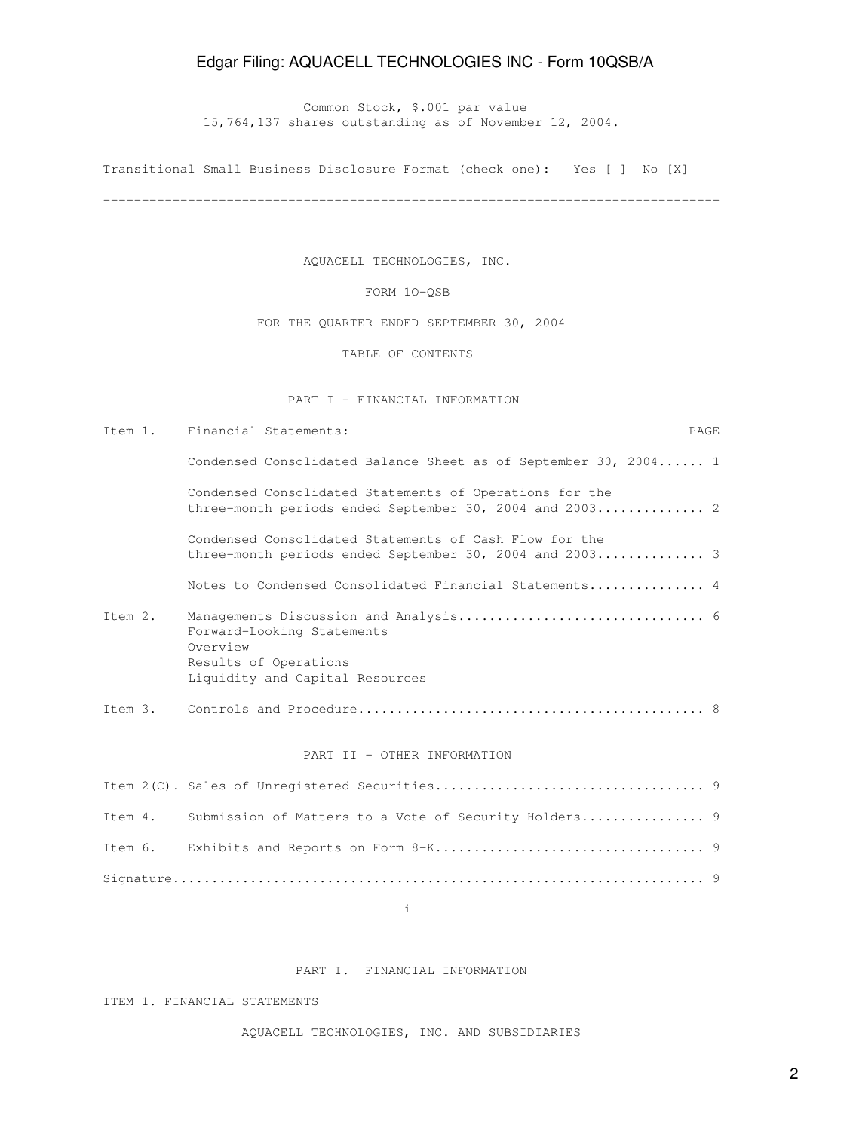Common Stock, \$.001 par value 15,764,137 shares outstanding as of November 12, 2004.

Transitional Small Business Disclosure Format (check one): Yes [ ] No [X]

--------------------------------------------------------------------------------

AQUACELL TECHNOLOGIES, INC.

FORM 1O-QSB

FOR THE QUARTER ENDED SEPTEMBER 30, 2004

TABLE OF CONTENTS

PART I - FINANCIAL INFORMATION

Item 1. Financial Statements: PAGE

Condensed Consolidated Balance Sheet as of September 30, 2004...... 1

 Condensed Consolidated Statements of Operations for the three-month periods ended September 30, 2004 and 2003.............. 2

 Condensed Consolidated Statements of Cash Flow for the three-month periods ended September 30, 2004 and 2003.............. 3

Notes to Condensed Consolidated Financial Statements............... 4

- Item 2. Managements Discussion and Analysis................................ 6 Forward-Looking Statements Overview Results of Operations Liquidity and Capital Resources
- Item 3. Controls and Procedure............................................. 8

#### PART II - OTHER INFORMATION

|  | Item 4. Submission of Matters to a Vote of Security Holders 9 |  |
|--|---------------------------------------------------------------|--|
|  |                                                               |  |
|  |                                                               |  |

i

## PART I. FINANCIAL INFORMATION

ITEM 1. FINANCIAL STATEMENTS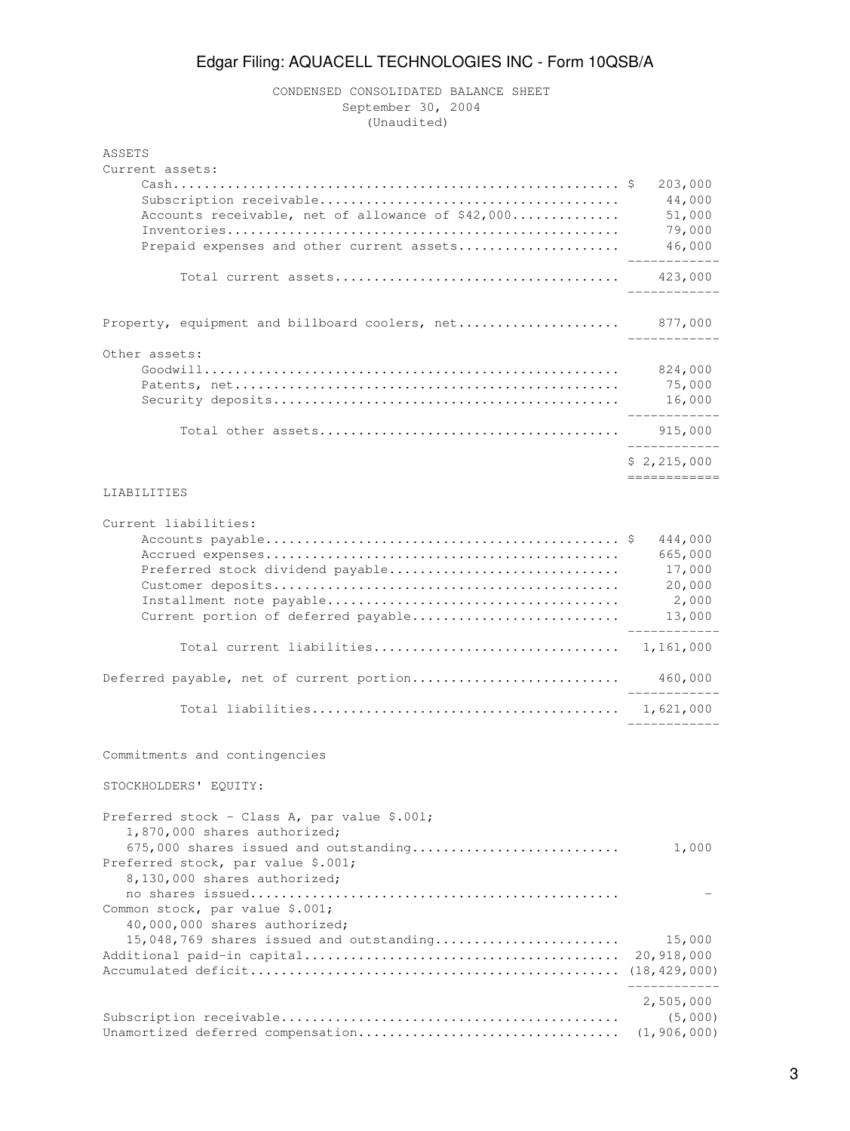# CONDENSED CONSOLIDATED BALANCE SHEET September 30, 2004 (Unaudited)

| ASSETS<br>Current assets:                                                                                   |                                        |
|-------------------------------------------------------------------------------------------------------------|----------------------------------------|
| Accounts receivable, net of allowance of \$42,000                                                           | 203,000<br>44,000<br>51,000<br>79,000  |
| Prepaid expenses and other current assets                                                                   | 46,000                                 |
|                                                                                                             |                                        |
| Property, equipment and billboard coolers, net                                                              | 877,000                                |
| Other assets:                                                                                               |                                        |
|                                                                                                             | 824,000                                |
|                                                                                                             | 75,000<br>16,000                       |
|                                                                                                             | 915,000                                |
|                                                                                                             | \$2,215,000                            |
|                                                                                                             |                                        |
| LIABILITIES                                                                                                 |                                        |
| Current liabilities:                                                                                        |                                        |
| Preferred stock dividend payable                                                                            | 444,000<br>665,000<br>17,000<br>20,000 |
| Current portion of deferred payable                                                                         | 2,000<br>13,000                        |
|                                                                                                             |                                        |
| Deferred payable, net of current portion                                                                    | 460,000                                |
|                                                                                                             | 1,621,000                              |
| Commitments and contingencies                                                                               |                                        |
| STOCKHOLDERS' EQUITY:                                                                                       |                                        |
| Preferred stock - Class A, par value \$.001;<br>1,870,000 shares authorized;                                |                                        |
| 675,000 shares issued and outstanding<br>Preferred stock, par value \$.001;<br>8,130,000 shares authorized; | 1,000                                  |
| Common stock, par value \$.001;<br>40,000,000 shares authorized;                                            |                                        |
| 15,048,769 shares issued and outstanding                                                                    | 15,000                                 |
|                                                                                                             | 20,918,000                             |
|                                                                                                             | 2,505,000                              |
|                                                                                                             | (5,000)<br>(1, 906, 000)               |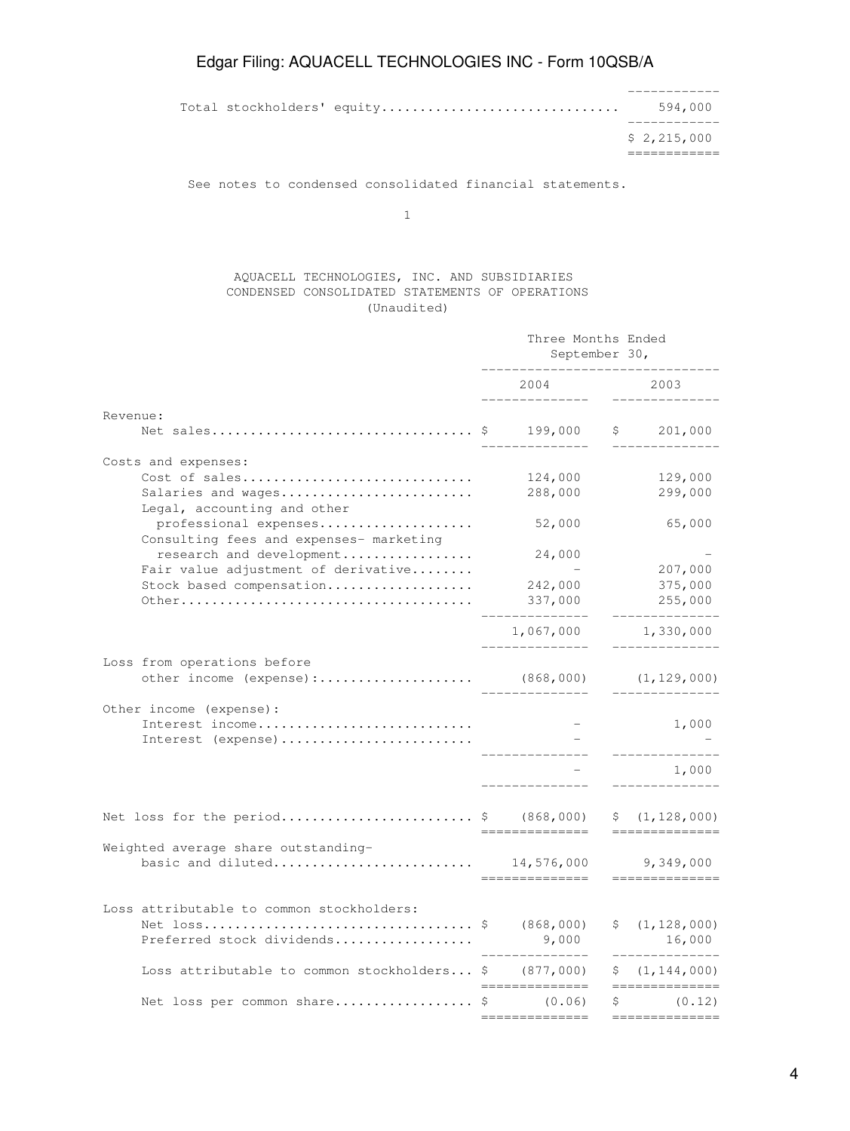Total stockholders' equity............................... 594,000

 ------------ \$ 2,215,000 ============

------------

See notes to condensed consolidated financial statements.

1

## AQUACELL TECHNOLOGIES, INC. AND SUBSIDIARIES CONDENSED CONSOLIDATED STATEMENTS OF OPERATIONS (Unaudited)

|                                                                  | Three Months Ended<br>September 30, |                             |     |                        |
|------------------------------------------------------------------|-------------------------------------|-----------------------------|-----|------------------------|
|                                                                  |                                     | 2004                        |     | 2003                   |
| Revenue:                                                         |                                     |                             |     |                        |
| Net sales                                                        | -S                                  | 199,000                     | \$  | 201,000                |
| Costs and expenses:                                              |                                     |                             |     |                        |
| Cost of sales                                                    |                                     | 124,000                     |     | 129,000                |
| Salaries and wages<br>Legal, accounting and other                |                                     | 288,000                     |     | 299,000                |
| professional expenses<br>Consulting fees and expenses- marketing |                                     | 52,000                      |     | 65,000                 |
| research and development                                         |                                     | 24,000                      |     |                        |
| Fair value adjustment of derivative                              |                                     |                             |     | 207,000                |
| Stock based compensation                                         |                                     | 242,000                     |     | 375,000                |
|                                                                  |                                     | 337,000                     |     | 255,000                |
|                                                                  |                                     | 1,067,000                   |     | 1,330,000              |
| Loss from operations before                                      |                                     |                             |     |                        |
| other income (expense):                                          |                                     | (868,000)                   |     | (1, 129, 000)          |
| Other income (expense):<br>Interest income                       |                                     |                             |     |                        |
| Interest (expense)                                               |                                     |                             |     | 1,000                  |
|                                                                  |                                     |                             |     | 1,000                  |
| Net loss for the period \$ $(868,000)$                           |                                     |                             | \$. | (1, 128, 000)          |
|                                                                  |                                     | =========                   |     |                        |
| Weighted average share outstanding-<br>basic and diluted         |                                     | 14,576,000<br>_____________ |     | 9,349,000<br>========= |
|                                                                  |                                     |                             |     |                        |
| Loss attributable to common stockholders:                        |                                     | (868,000)                   | Ş.  | (1, 128, 000)          |
| Preferred stock dividends                                        |                                     | 9,000                       |     | 16,000                 |
| Loss attributable to common stockholders $\frac{1}{2}$ (877,000) |                                     |                             |     | \$ (1, 144, 000)       |
| Net loss per common share \$                                     |                                     | (0.06)                      | Ŝ.  | (0.12)                 |
|                                                                  |                                     |                             |     |                        |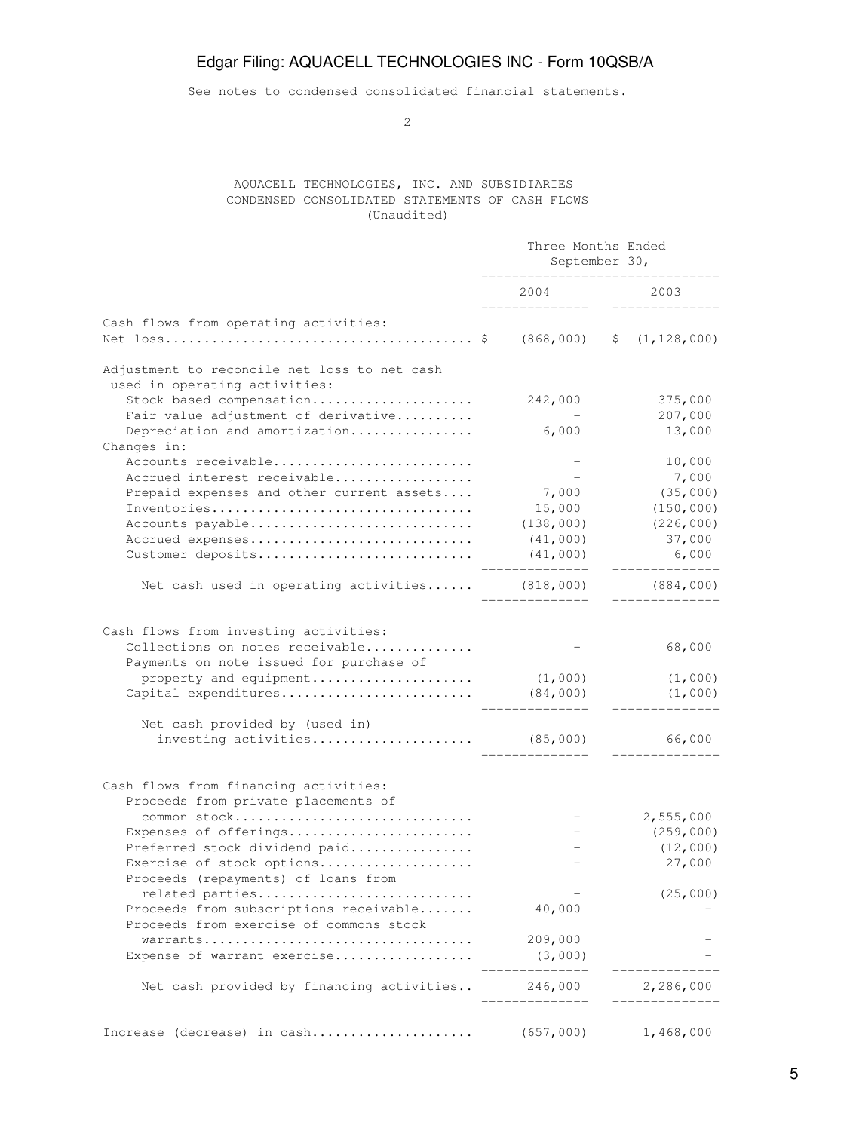See notes to condensed consolidated financial statements.

2

## AQUACELL TECHNOLOGIES, INC. AND SUBSIDIARIES CONDENSED CONSOLIDATED STATEMENTS OF CASH FLOWS (Unaudited)

|                                                                                   | Three Months Ended<br>September 30, |                 |  |
|-----------------------------------------------------------------------------------|-------------------------------------|-----------------|--|
|                                                                                   | 2004                                | 2003            |  |
| Cash flows from operating activities:                                             |                                     |                 |  |
|                                                                                   |                                     | \$(1, 128, 000) |  |
| Adjustment to reconcile net loss to net cash<br>used in operating activities:     |                                     |                 |  |
| Stock based compensation                                                          | 242,000                             | 375,000         |  |
| Fair value adjustment of derivative                                               |                                     | 207,000         |  |
| Depreciation and amortization                                                     | 6,000                               | 13,000          |  |
| Changes in:                                                                       |                                     |                 |  |
| Accounts receivable                                                               |                                     | 10,000          |  |
| Accrued interest receivable                                                       |                                     | 7,000           |  |
| Prepaid expenses and other current assets                                         | 7,000                               | (35,000)        |  |
| Inventories                                                                       | 15,000                              | (150, 000)      |  |
| Accounts payable                                                                  | (138,000)                           | (226, 000)      |  |
| Accrued expenses                                                                  | (41,000)                            | 37,000          |  |
| Customer deposits                                                                 | (41,000)                            | 6,000           |  |
| Net cash used in operating activities (818,000)                                   |                                     | (884, 000)      |  |
| Cash flows from investing activities:<br>Collections on notes receivable          |                                     | 68,000          |  |
| Payments on note issued for purchase of                                           |                                     |                 |  |
| property and equipment                                                            | (1,000)                             | (1,000)         |  |
| Capital expenditures                                                              | (84,000)                            | (1,000)         |  |
| Net cash provided by (used in)                                                    |                                     |                 |  |
| investing activities $(85,000)$                                                   |                                     | 66,000          |  |
| Cash flows from financing activities:<br>Proceeds from private placements of      |                                     |                 |  |
| common stock                                                                      |                                     | 2,555,000       |  |
| Expenses of offerings                                                             |                                     | (259,000)       |  |
| Preferred stock dividend paid                                                     |                                     | (12,000)        |  |
| Exercise of stock options<br>Proceeds (repayments) of loans from                  |                                     | 27,000          |  |
| related parties                                                                   |                                     | (25,000)        |  |
| Proceeds from subscriptions receivable<br>Proceeds from exercise of commons stock | 40,000                              |                 |  |
|                                                                                   | 209,000                             |                 |  |
| Expense of warrant exercise                                                       | (3,000)                             |                 |  |
| Net cash provided by financing activities                                         | 246,000                             | 2,286,000       |  |
| Increase (decrease) in cash                                                       | (657,000)                           | 1,468,000       |  |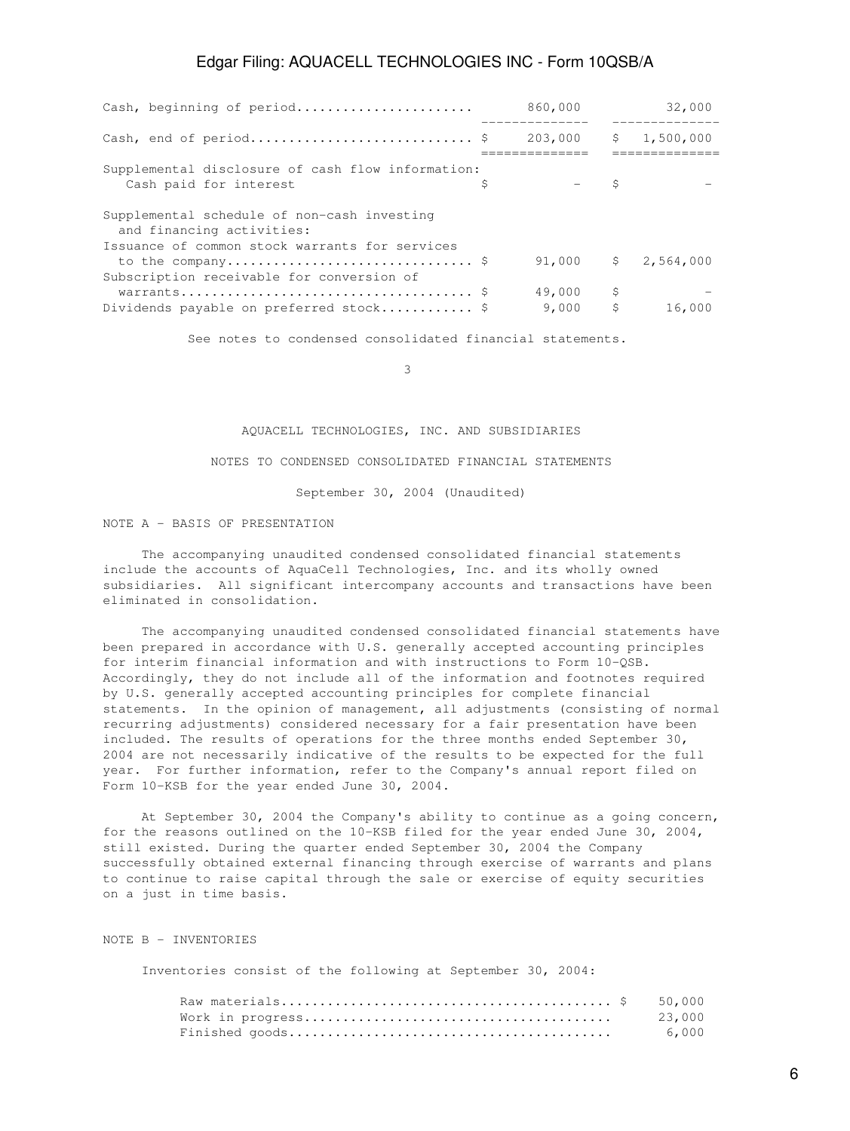| Cash, beginning of period                                                                   |   | 860,000               |          | 32,000   |
|---------------------------------------------------------------------------------------------|---|-----------------------|----------|----------|
| Cash, end of period \$                                                                      |   | 203,000 \$ 1,500,000  |          | -------- |
| Supplemental disclosure of cash flow information:<br>Cash paid for interest                 | Ŝ |                       | Ŝ        |          |
| Supplemental schedule of non-cash investing<br>and financing activities:                    |   |                       |          |          |
| Issuance of common stock warrants for services<br>Subscription receivable for conversion of |   | $91,000$ \$ 2,564,000 |          |          |
| Dividends payable on preferred stock \$                                                     |   | 49,000<br>9,000       | \$<br>\$ | 16,000   |

See notes to condensed consolidated financial statements.

 $\sim$  3

### AQUACELL TECHNOLOGIES, INC. AND SUBSIDIARIES

### NOTES TO CONDENSED CONSOLIDATED FINANCIAL STATEMENTS

September 30, 2004 (Unaudited)

## NOTE A - BASIS OF PRESENTATION

 The accompanying unaudited condensed consolidated financial statements include the accounts of AquaCell Technologies, Inc. and its wholly owned subsidiaries. All significant intercompany accounts and transactions have been eliminated in consolidation.

 The accompanying unaudited condensed consolidated financial statements have been prepared in accordance with U.S. generally accepted accounting principles for interim financial information and with instructions to Form 10-QSB. Accordingly, they do not include all of the information and footnotes required by U.S. generally accepted accounting principles for complete financial statements. In the opinion of management, all adjustments (consisting of normal recurring adjustments) considered necessary for a fair presentation have been included. The results of operations for the three months ended September 30, 2004 are not necessarily indicative of the results to be expected for the full year. For further information, refer to the Company's annual report filed on Form 10-KSB for the year ended June 30, 2004.

 At September 30, 2004 the Company's ability to continue as a going concern, for the reasons outlined on the 10-KSB filed for the year ended June 30, 2004, still existed. During the quarter ended September 30, 2004 the Company successfully obtained external financing through exercise of warrants and plans to continue to raise capital through the sale or exercise of equity securities on a just in time basis.

#### NOTE B - INVENTORIES

Inventories consist of the following at September 30, 2004:

|  | 23,000 |
|--|--------|
|  | 6,000  |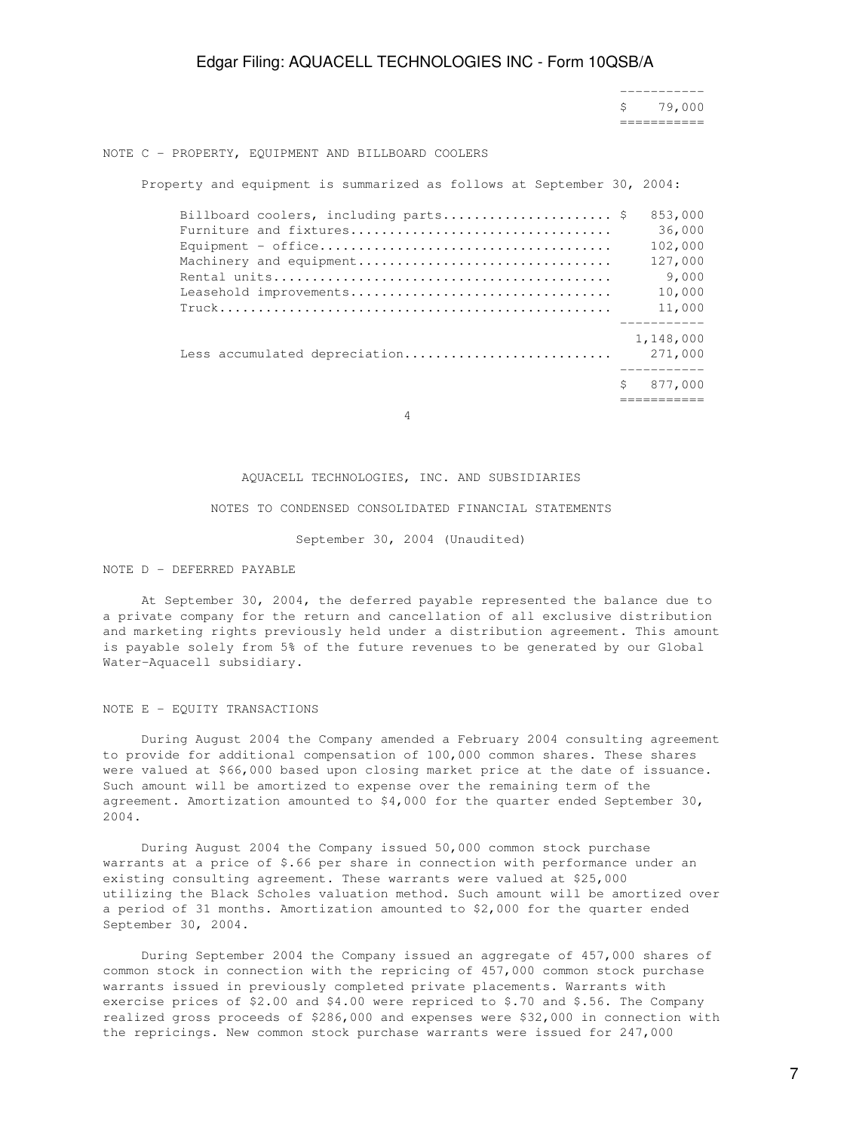----------- \$ 79,000 ===========

#### NOTE C - PROPERTY, EQUIPMENT AND BILLBOARD COOLERS

Property and equipment is summarized as follows at September 30, 2004:

| Billboard coolers, including parts \$ |   | 853,000   |
|---------------------------------------|---|-----------|
| Furniture and fixtures                |   | 36,000    |
|                                       |   | 102,000   |
| Machinery and equipment               |   | 127,000   |
|                                       |   | 9,000     |
| Leasehold improvements                |   | 10,000    |
| $True k$                              |   | 11,000    |
|                                       |   | 1,148,000 |
| Less accumulated depreciation         |   | 271,000   |
|                                       | S | 877,000   |
|                                       |   |           |

4

#### AQUACELL TECHNOLOGIES, INC. AND SUBSIDIARIES

#### NOTES TO CONDENSED CONSOLIDATED FINANCIAL STATEMENTS

September 30, 2004 (Unaudited)

#### NOTE D - DEFERRED PAYABLE

 At September 30, 2004, the deferred payable represented the balance due to a private company for the return and cancellation of all exclusive distribution and marketing rights previously held under a distribution agreement. This amount is payable solely from 5% of the future revenues to be generated by our Global Water-Aquacell subsidiary.

#### NOTE E - EQUITY TRANSACTIONS

 During August 2004 the Company amended a February 2004 consulting agreement to provide for additional compensation of 100,000 common shares. These shares were valued at \$66,000 based upon closing market price at the date of issuance. Such amount will be amortized to expense over the remaining term of the agreement. Amortization amounted to \$4,000 for the quarter ended September 30, 2004.

 During August 2004 the Company issued 50,000 common stock purchase warrants at a price of \$.66 per share in connection with performance under an existing consulting agreement. These warrants were valued at \$25,000 utilizing the Black Scholes valuation method. Such amount will be amortized over a period of 31 months. Amortization amounted to \$2,000 for the quarter ended September 30, 2004.

 During September 2004 the Company issued an aggregate of 457,000 shares of common stock in connection with the repricing of 457,000 common stock purchase warrants issued in previously completed private placements. Warrants with exercise prices of \$2.00 and \$4.00 were repriced to \$.70 and \$.56. The Company realized gross proceeds of \$286,000 and expenses were \$32,000 in connection with the repricings. New common stock purchase warrants were issued for 247,000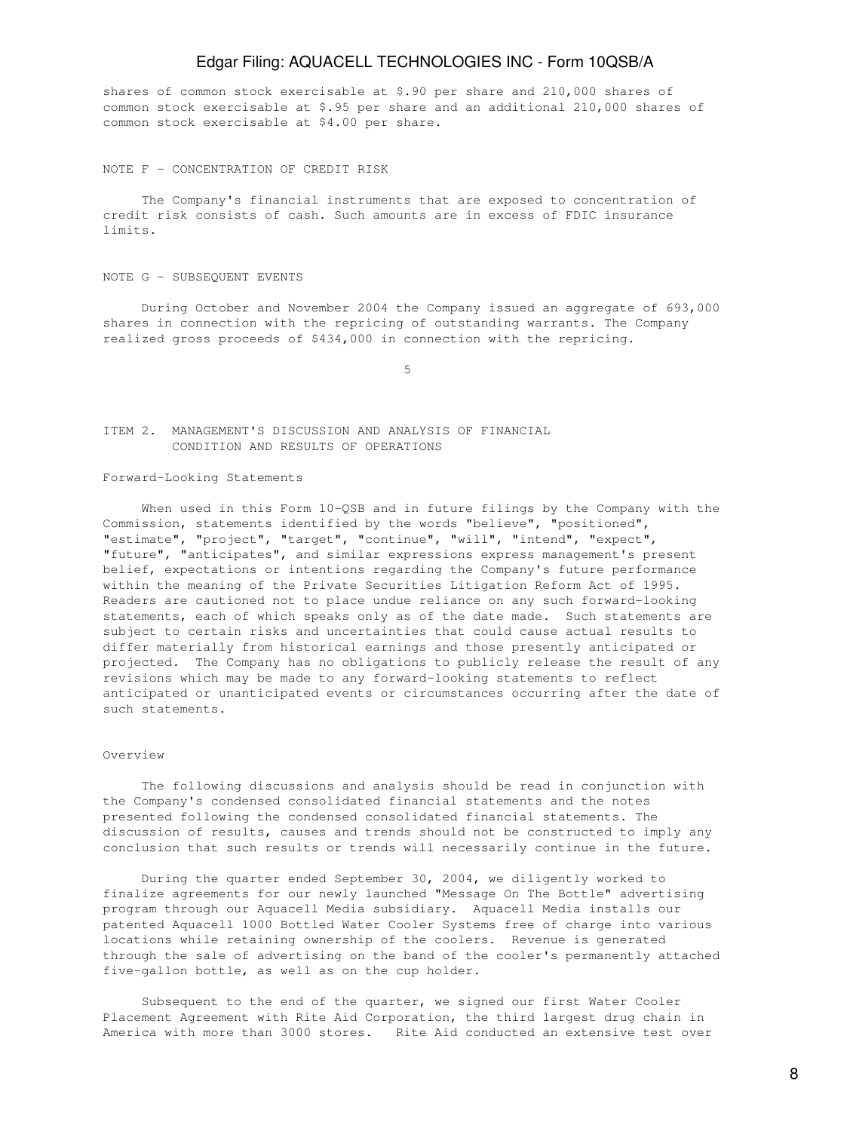shares of common stock exercisable at \$.90 per share and 210,000 shares of common stock exercisable at \$.95 per share and an additional 210,000 shares of common stock exercisable at \$4.00 per share.

#### NOTE F - CONCENTRATION OF CREDIT RISK

 The Company's financial instruments that are exposed to concentration of credit risk consists of cash. Such amounts are in excess of FDIC insurance limits.

#### NOTE G - SUBSEQUENT EVENTS

 During October and November 2004 the Company issued an aggregate of 693,000 shares in connection with the repricing of outstanding warrants. The Company realized gross proceeds of \$434,000 in connection with the repricing.

 $5<sub>5</sub>$ 

## ITEM 2. MANAGEMENT'S DISCUSSION AND ANALYSIS OF FINANCIAL CONDITION AND RESULTS OF OPERATIONS

#### Forward-Looking Statements

When used in this Form 10-QSB and in future filings by the Company with the Commission, statements identified by the words "believe", "positioned", "estimate", "project", "target", "continue", "will", "intend", "expect", "future", "anticipates", and similar expressions express management's present belief, expectations or intentions regarding the Company's future performance within the meaning of the Private Securities Litigation Reform Act of 1995. Readers are cautioned not to place undue reliance on any such forward-looking statements, each of which speaks only as of the date made. Such statements are subject to certain risks and uncertainties that could cause actual results to differ materially from historical earnings and those presently anticipated or projected. The Company has no obligations to publicly release the result of any revisions which may be made to any forward-looking statements to reflect anticipated or unanticipated events or circumstances occurring after the date of such statements.

### Overview

 The following discussions and analysis should be read in conjunction with the Company's condensed consolidated financial statements and the notes presented following the condensed consolidated financial statements. The discussion of results, causes and trends should not be constructed to imply any conclusion that such results or trends will necessarily continue in the future.

 During the quarter ended September 30, 2004, we diligently worked to finalize agreements for our newly launched "Message On The Bottle" advertising program through our Aquacell Media subsidiary. Aquacell Media installs our patented Aquacell 1000 Bottled Water Cooler Systems free of charge into various locations while retaining ownership of the coolers. Revenue is generated through the sale of advertising on the band of the cooler's permanently attached five-gallon bottle, as well as on the cup holder.

 Subsequent to the end of the quarter, we signed our first Water Cooler Placement Agreement with Rite Aid Corporation, the third largest drug chain in America with more than 3000 stores. Rite Aid conducted an extensive test over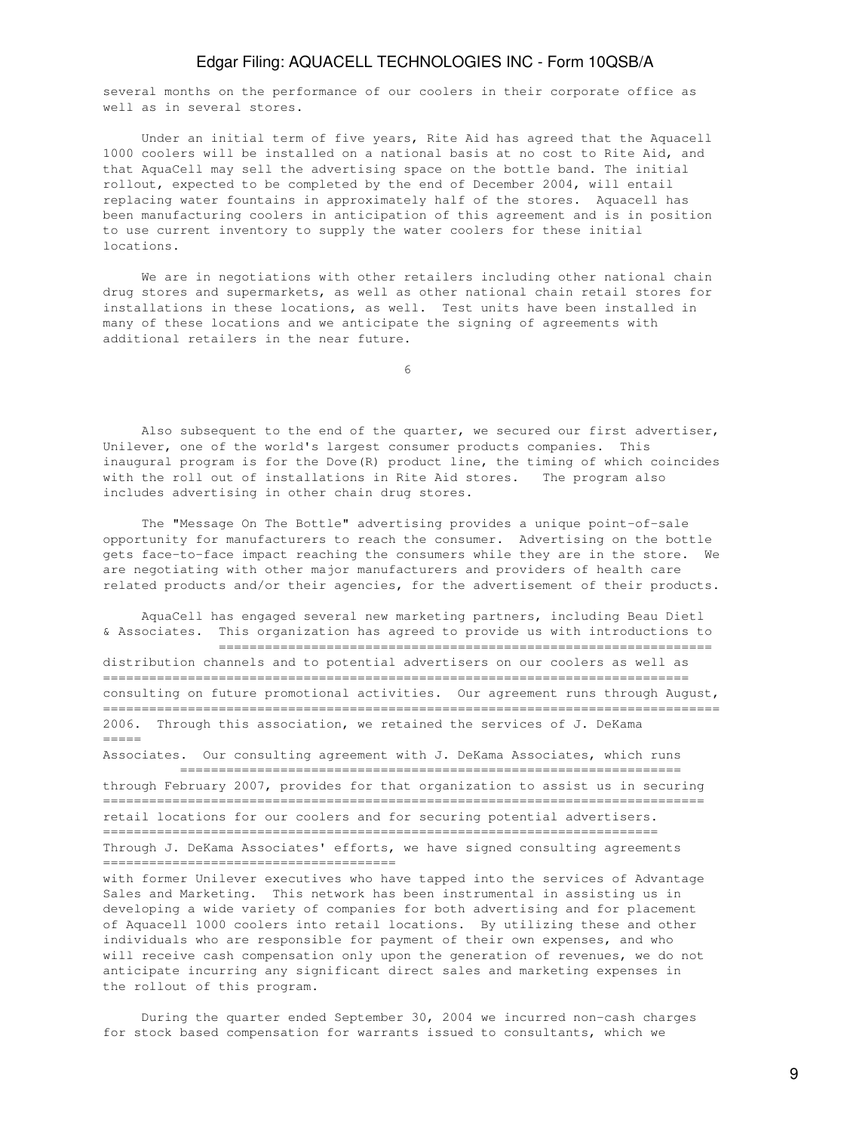several months on the performance of our coolers in their corporate office as well as in several stores.

 Under an initial term of five years, Rite Aid has agreed that the Aquacell 1000 coolers will be installed on a national basis at no cost to Rite Aid, and that AquaCell may sell the advertising space on the bottle band. The initial rollout, expected to be completed by the end of December 2004, will entail replacing water fountains in approximately half of the stores. Aquacell has been manufacturing coolers in anticipation of this agreement and is in position to use current inventory to supply the water coolers for these initial locations.

 We are in negotiations with other retailers including other national chain drug stores and supermarkets, as well as other national chain retail stores for installations in these locations, as well. Test units have been installed in many of these locations and we anticipate the signing of agreements with additional retailers in the near future.

 $\sim$  6

 Also subsequent to the end of the quarter, we secured our first advertiser, Unilever, one of the world's largest consumer products companies. This inaugural program is for the Dove(R) product line, the timing of which coincides with the roll out of installations in Rite Aid stores. The program also includes advertising in other chain drug stores.

 The "Message On The Bottle" advertising provides a unique point-of-sale opportunity for manufacturers to reach the consumer. Advertising on the bottle gets face-to-face impact reaching the consumers while they are in the store. We are negotiating with other major manufacturers and providers of health care related products and/or their agencies, for the advertisement of their products.

 AquaCell has engaged several new marketing partners, including Beau Dietl & Associates. This organization has agreed to provide us with introductions to

 ================================================================ distribution channels and to potential advertisers on our coolers as well as ============================================================================ consulting on future promotional activities. Our agreement runs through August, ================================================================================ 2006. Through this association, we retained the services of J. DeKama =====

Associates. Our consulting agreement with J. DeKama Associates, which runs ================================================================= through February 2007, provides for that organization to assist us in securing ============================================================================== retail locations for our coolers and for securing potential advertisers. ======================================================================== Through J. DeKama Associates' efforts, we have signed consulting agreements ======================================

with former Unilever executives who have tapped into the services of Advantage Sales and Marketing. This network has been instrumental in assisting us in developing a wide variety of companies for both advertising and for placement of Aquacell 1000 coolers into retail locations. By utilizing these and other individuals who are responsible for payment of their own expenses, and who will receive cash compensation only upon the generation of revenues, we do not anticipate incurring any significant direct sales and marketing expenses in the rollout of this program.

 During the quarter ended September 30, 2004 we incurred non-cash charges for stock based compensation for warrants issued to consultants, which we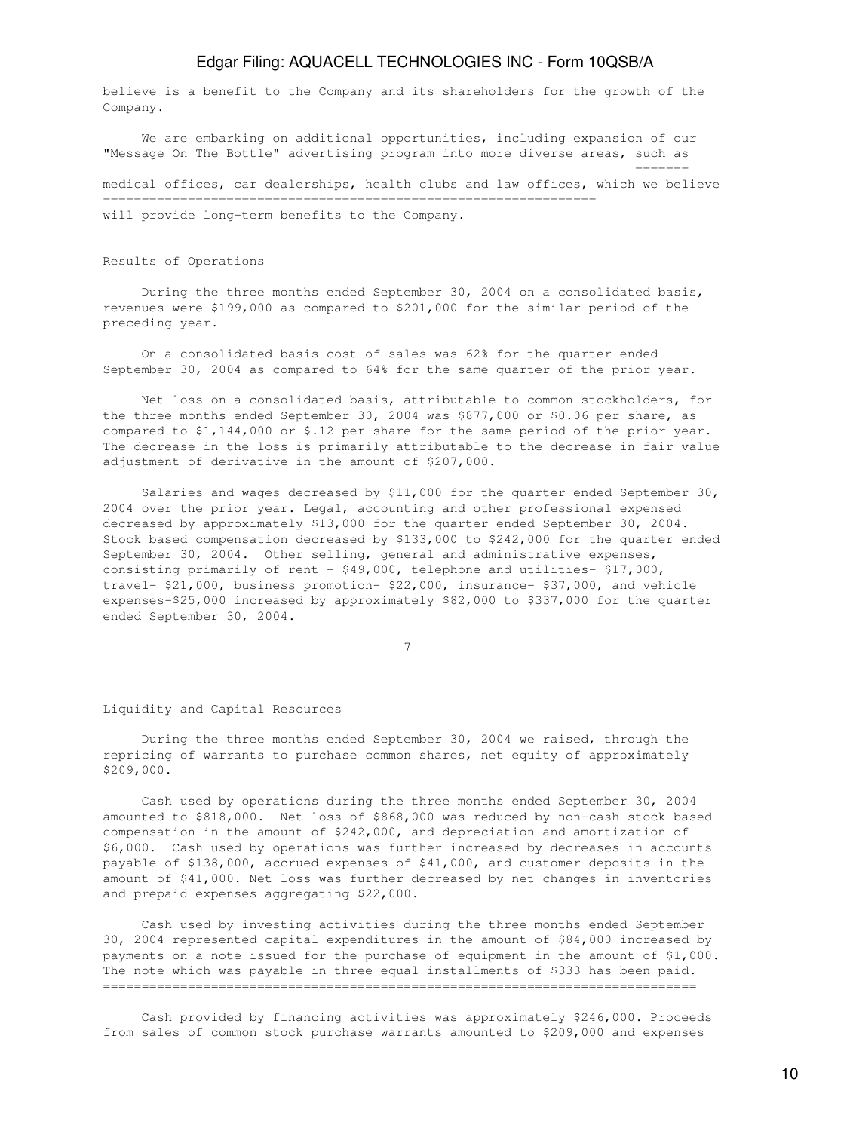believe is a benefit to the Company and its shareholders for the growth of the Company.

 We are embarking on additional opportunities, including expansion of our "Message On The Bottle" advertising program into more diverse areas, such as ======= medical offices, car dealerships, health clubs and law offices, which we believe ================================================================ will provide long-term benefits to the Company.

Results of Operations

 During the three months ended September 30, 2004 on a consolidated basis, revenues were \$199,000 as compared to \$201,000 for the similar period of the preceding year.

 On a consolidated basis cost of sales was 62% for the quarter ended September 30, 2004 as compared to 64% for the same quarter of the prior year.

 Net loss on a consolidated basis, attributable to common stockholders, for the three months ended September 30, 2004 was \$877,000 or \$0.06 per share, as compared to \$1,144,000 or \$.12 per share for the same period of the prior year. The decrease in the loss is primarily attributable to the decrease in fair value adjustment of derivative in the amount of \$207,000.

 Salaries and wages decreased by \$11,000 for the quarter ended September 30, 2004 over the prior year. Legal, accounting and other professional expensed decreased by approximately \$13,000 for the quarter ended September 30, 2004. Stock based compensation decreased by \$133,000 to \$242,000 for the quarter ended September 30, 2004. Other selling, general and administrative expenses, consisting primarily of rent - \$49,000, telephone and utilities- \$17,000, travel- \$21,000, business promotion- \$22,000, insurance- \$37,000, and vehicle expenses-\$25,000 increased by approximately \$82,000 to \$337,000 for the quarter ended September 30, 2004.

7

#### Liquidity and Capital Resources

 During the three months ended September 30, 2004 we raised, through the repricing of warrants to purchase common shares, net equity of approximately \$209,000.

 Cash used by operations during the three months ended September 30, 2004 amounted to \$818,000. Net loss of \$868,000 was reduced by non-cash stock based compensation in the amount of \$242,000, and depreciation and amortization of \$6,000. Cash used by operations was further increased by decreases in accounts payable of \$138,000, accrued expenses of \$41,000, and customer deposits in the amount of \$41,000. Net loss was further decreased by net changes in inventories and prepaid expenses aggregating \$22,000.

 Cash used by investing activities during the three months ended September 30, 2004 represented capital expenditures in the amount of \$84,000 increased by payments on a note issued for the purchase of equipment in the amount of \$1,000. The note which was payable in three equal installments of \$333 has been paid. =============================================================================

 Cash provided by financing activities was approximately \$246,000. Proceeds from sales of common stock purchase warrants amounted to \$209,000 and expenses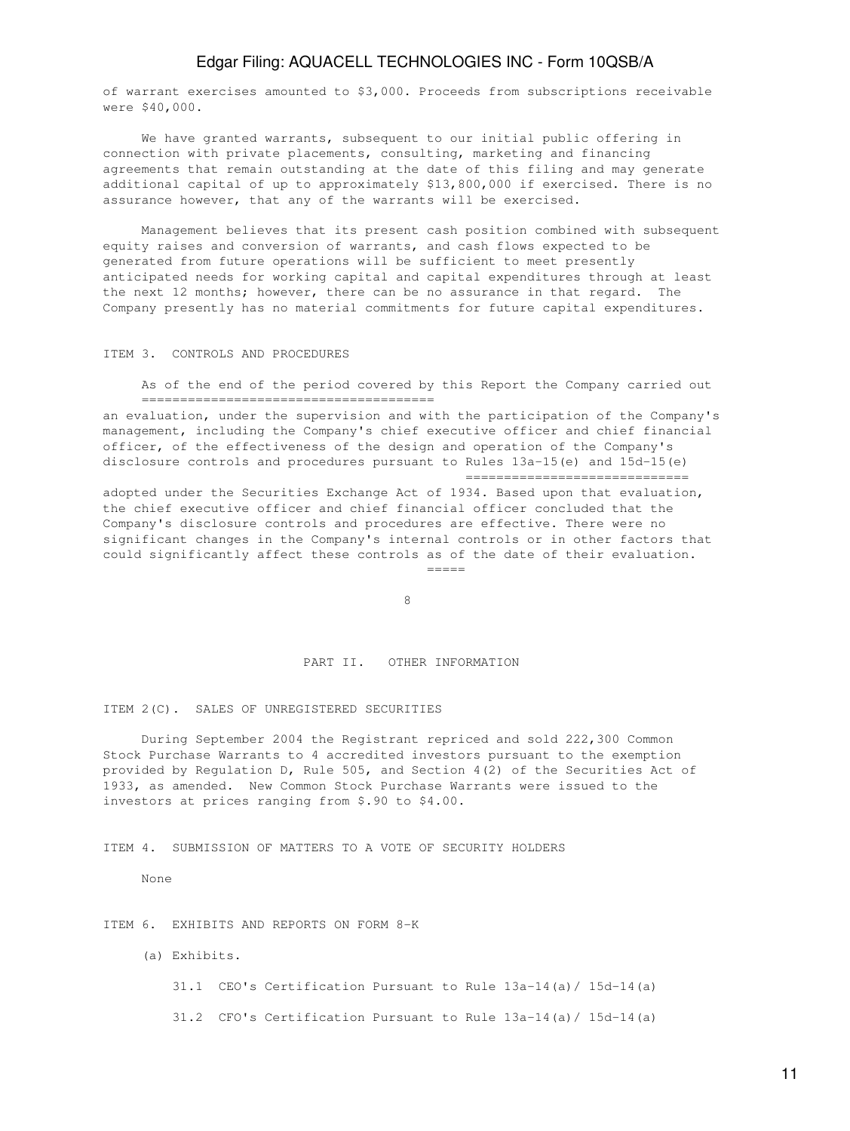of warrant exercises amounted to \$3,000. Proceeds from subscriptions receivable were \$40,000.

 We have granted warrants, subsequent to our initial public offering in connection with private placements, consulting, marketing and financing agreements that remain outstanding at the date of this filing and may generate additional capital of up to approximately \$13,800,000 if exercised. There is no assurance however, that any of the warrants will be exercised.

 Management believes that its present cash position combined with subsequent equity raises and conversion of warrants, and cash flows expected to be generated from future operations will be sufficient to meet presently anticipated needs for working capital and capital expenditures through at least the next 12 months; however, there can be no assurance in that regard. The Company presently has no material commitments for future capital expenditures.

## ITEM 3. CONTROLS AND PROCEDURES

 As of the end of the period covered by this Report the Company carried out ======================================

an evaluation, under the supervision and with the participation of the Company's management, including the Company's chief executive officer and chief financial officer, of the effectiveness of the design and operation of the Company's disclosure controls and procedures pursuant to Rules 13a-15(e) and 15d-15(e) =============================

adopted under the Securities Exchange Act of 1934. Based upon that evaluation, the chief executive officer and chief financial officer concluded that the Company's disclosure controls and procedures are effective. There were no significant changes in the Company's internal controls or in other factors that could significantly affect these controls as of the date of their evaluation. =====

en andere de la provincia de la provincia de la provincia de la provincia de la provincia de la provincia de<br>En la provincia de la provincia de la provincia de la provincia de la provincia de la provincia de la provinci

#### PART II. OTHER INFORMATION

ITEM 2(C). SALES OF UNREGISTERED SECURITIES

 During September 2004 the Registrant repriced and sold 222,300 Common Stock Purchase Warrants to 4 accredited investors pursuant to the exemption provided by Regulation D, Rule 505, and Section 4(2) of the Securities Act of 1933, as amended. New Common Stock Purchase Warrants were issued to the investors at prices ranging from \$.90 to \$4.00.

ITEM 4. SUBMISSION OF MATTERS TO A VOTE OF SECURITY HOLDERS

None

### ITEM 6. EXHIBITS AND REPORTS ON FORM 8-K

(a) Exhibits.

31.1 CEO's Certification Pursuant to Rule 13a-14(a)/ 15d-14(a)

31.2 CFO's Certification Pursuant to Rule 13a-14(a)/ 15d-14(a)